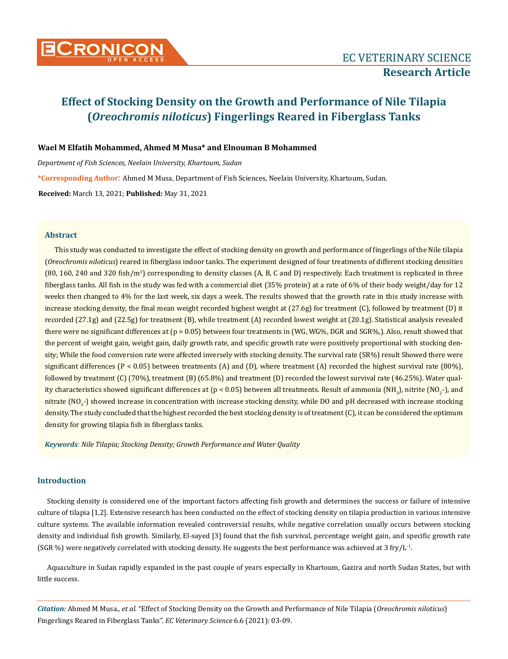

# **Wael M Elfatih Mohammed, Ahmed M Musa\* and Elnouman B Mohammed**

*Department of Fish Sciences, Neelain University, Khartoum, Sudan* **\*Corresponding Author**: Ahmed M Musa, Department of Fish Sciences, Neelain University, Khartoum, Sudan. **Received:** March 13, 2021; **Published:** May 31, 2021

### **Abstract**

This study was conducted to investigate the effect of stocking density on growth and performance of fingerlings of the Nile tilapia (*Oreochromis niloticus*) reared in fiberglass indoor tanks. The experiment designed of four treatments of different stocking densities (80, 160, 240 and 320 fish/m<sup>3</sup>) corresponding to density classes (A, B, C and D) respectively. Each treatment is replicated in three fiberglass tanks. All fish in the study was fed with a commercial diet (35% protein) at a rate of 6% of their body weight/day for 12 weeks then changed to 4% for the last week, six days a week. The results showed that the growth rate in this study increase with increase stocking density, the final mean weight recorded highest weight at (27.6g) for treatment (C), followed by treatment (D) it recorded (27.1g) and (22.5g) for treatment (B), while treatment (A) recorded lowest weight at (20.1g). Statistical analysis revealed there were no significant differences at (p > 0.05) between four treatments in (WG, WG%, DGR and SGR%,). Also, result showed that the percent of weight gain, weight gain, daily growth rate, and specific growth rate were positively proportional with stocking density; While the food conversion rate were affected inversely with stocking density. The survival rate (SR%) result Showed there were significant differences ( $P < 0.05$ ) between treatments (A) and (D), where treatment (A) recorded the highest survival rate (80%), followed by treatment (C) (70%), treatment (B) (65.8%) and treatment (D) recorded the lowest survival rate (46.25%). Water quality characteristics showed significant differences at (p < 0.05) between all treatments. Result of ammonia (NH<sub>3</sub>), nitrite (NO<sub>2</sub>-), and nitrate (NO<sub>3</sub>-) showed increase in concentration with increase stocking density, while DO and pH decreased with increase stocking density. The study concluded that the highest recorded the best stocking density is of treatment (C), it can be considered the optimum density for growing tilapia fish in fiberglass tanks.

*Keywords: Nile Tilapia; Stocking Density; Growth Performance and Water Quality*

# **Introduction**

Stocking density is considered one of the important factors affecting fish growth and determines the success or failure of intensive culture of tilapia [1,2]. Extensive research has been conducted on the effect of stocking density on tilapia production in various intensive culture systems. The available information revealed controversial results, while negative correlation usually occurs between stocking density and individual fish growth. Similarly, El-sayed [3] found that the fish survival, percentage weight gain, and specific growth rate (SGR %) were negatively correlated with stocking density. He suggests the best performance was achieved at 3 fry/L<sup>-1</sup>.

Aquaculture in Sudan rapidly expanded in the past couple of years especially in Khartoum, Gazira and north Sudan States, but with little success.

*Citation:* Ahmed M Musa., *et al.* "Effect of Stocking Density on the Growth and Performance of Nile Tilapia (*Oreochromis niloticus*) Fingerlings Reared in Fiberglass Tanks". *EC Veterinary Science* 6.6 (2021): 03-09.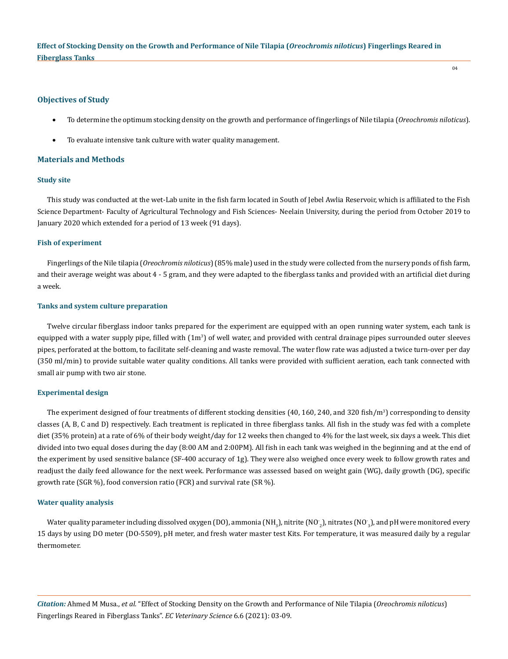## **Objectives of Study**

To determine the optimum stocking density on the growth and performance of fingerlings of Nile tilapia (*Oreochromis niloticus*).

 $04$ 

To evaluate intensive tank culture with water quality management.

## **Materials and Methods**

# **Study site**

This study was conducted at the wet-Lab unite in the fish farm located in South of Jebel Awlia Reservoir, which is affiliated to the Fish Science Department- Faculty of Agricultural Technology and Fish Sciences- Neelain University, during the period from October 2019 to January 2020 which extended for a period of 13 week (91 days).

#### **Fish of experiment**

Fingerlings of the Nile tilapia (*Oreochromis niloticus*) (85% male) used in the study were collected from the nursery ponds of fish farm, and their average weight was about 4 - 5 gram, and they were adapted to the fiberglass tanks and provided with an artificial diet during a week.

#### **Tanks and system culture preparation**

Twelve circular fiberglass indoor tanks prepared for the experiment are equipped with an open running water system, each tank is equipped with a water supply pipe, filled with  $(1m^3)$  of well water, and provided with central drainage pipes surrounded outer sleeves pipes, perforated at the bottom, to facilitate self-cleaning and waste removal. The water flow rate was adjusted a twice turn-over per day (350 ml/min) to provide suitable water quality conditions. All tanks were provided with sufficient aeration, each tank connected with small air pump with two air stone.

#### **Experimental design**

The experiment designed of four treatments of different stocking densities (40, 160, 240, and 320 fish/m<sup>3</sup>) corresponding to density classes (A, B, C and D) respectively. Each treatment is replicated in three fiberglass tanks. All fish in the study was fed with a complete diet (35% protein) at a rate of 6% of their body weight/day for 12 weeks then changed to 4% for the last week, six days a week. This diet divided into two equal doses during the day (8:00 AM and 2:00PM). All fish in each tank was weighed in the beginning and at the end of the experiment by used sensitive balance (SF-400 accuracy of 1g). They were also weighed once every week to follow growth rates and readjust the daily feed allowance for the next week. Performance was assessed based on weight gain (WG), daily growth (DG), specific growth rate (SGR %), food conversion ratio (FCR) and survival rate (SR %).

#### **Water quality analysis**

Water quality parameter including dissolved oxygen (DO), ammonia (NH $_{\rm_3}$ ), nitrite (NO $_{\rm_2}$ ), nitrates (NO $_{\rm_3}$ ), and pH were monitored every 15 days by using DO meter (DO-5509), pH meter, and fresh water master test Kits. For temperature, it was measured daily by a regular thermometer.

*Citation:* Ahmed M Musa., *et al.* "Effect of Stocking Density on the Growth and Performance of Nile Tilapia (*Oreochromis niloticus*) Fingerlings Reared in Fiberglass Tanks". *EC Veterinary Science* 6.6 (2021): 03-09.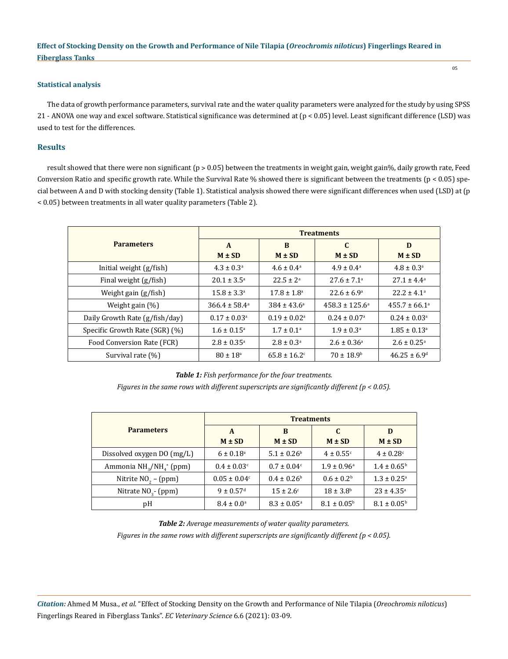## **Statistical analysis**

The data of growth performance parameters, survival rate and the water quality parameters were analyzed for the study by using SPSS 21 - ANOVA one way and excel software. Statistical significance was determined at (p < 0.05) level. Least significant difference (LSD) was used to test for the differences.

# **Results**

result showed that there were non significant ( $p > 0.05$ ) between the treatments in weight gain, weight gain%, daily growth rate, Feed Conversion Ratio and specific growth rate. While the Survival Rate % showed there is significant between the treatments  $(p < 0.05)$  special between A and D with stocking density (Table 1). Statistical analysis showed there were significant differences when used (LSD) at (p < 0.05) between treatments in all water quality parameters (Table 2).

|                                | <b>Treatments</b>        |                              |                              |                              |  |  |
|--------------------------------|--------------------------|------------------------------|------------------------------|------------------------------|--|--|
| <b>Parameters</b>              | $\mathbf{A}$             | B                            | $\mathbf{C}$                 | D                            |  |  |
|                                | $M \pm SD$               | $M \pm SD$                   | $M \pm SD$                   | $M \pm SD$                   |  |  |
| Initial weight $(g/fish)$      | $4.3 \pm 0.3^{\circ}$    | $4.6 \pm 0.4^{\circ}$        | $4.9 \pm 0.4^{\circ}$        | $4.8 \pm 0.3^{\circ}$        |  |  |
| Final weight (g/fish)          | $20.1 \pm 3.5^{\circ}$   | $22.5 \pm 2^a$               | $27.6 \pm 7.1^{\circ}$       | $27.1 \pm 4.4^a$             |  |  |
| Weight gain (g/fish)           | $15.8 \pm 3.3^{\circ}$   | $17.8 \pm 1.8^{\circ}$       | $22.6 \pm 6.9^{\circ}$       | $22.2 \pm 4.1^{\circ}$       |  |  |
| Weight gain $(\%)$             | $366.4 \pm 58.4^{\circ}$ | $384 \pm 43.6^{\circ}$       | $458.3 \pm 125.6^{\circ}$    | $455.7 \pm 66.1^{\circ}$     |  |  |
| Daily Growth Rate (g/fish/day) | $0.17 \pm 0.03^{\circ}$  | $0.19 \pm 0.02^{\text{a}}$   | $0.24 \pm 0.07$ <sup>a</sup> | $0.24 \pm 0.03$ <sup>a</sup> |  |  |
| Specific Growth Rate (SGR) (%) | $1.6 \pm 0.15^{\circ}$   | $1.7 \pm 0.1^{\circ}$        | $1.9 \pm 0.3^{\circ}$        | $1.85 \pm 0.13^{\circ}$      |  |  |
| Food Conversion Rate (FCR)     | $2.8 \pm 0.35^{\circ}$   | $2.8 \pm 0.3^{\circ}$        | $2.6 \pm 0.36$ <sup>a</sup>  | $2.6 \pm 0.25$ <sup>a</sup>  |  |  |
| Survival rate (%)              | $80 \pm 18^{\circ}$      | $65.8 \pm 16.2$ <sup>c</sup> | $70 \pm 18.9$ <sup>b</sup>   | $46.25 \pm 6.9^{\circ}$      |  |  |

*Table 1: Fish performance for the four treatments.*

*Figures in the same rows with different superscripts are significantly different (p < 0.05).*

|                                                             | <b>Treatments</b>            |                             |                           |                             |  |
|-------------------------------------------------------------|------------------------------|-----------------------------|---------------------------|-----------------------------|--|
| <b>Parameters</b>                                           | A                            | B                           | C                         | D                           |  |
|                                                             | $M \pm SD$                   | $M \pm SD$                  | $M \pm SD$                | $M \pm SD$                  |  |
| Dissolved oxygen DO (mg/L)                                  | $6 \pm 0.18^{\circ}$         | $5.1 \pm 0.26^{\rm b}$      | $4 \pm 0.55$ <sup>c</sup> | $4 \pm 0.28$ <sup>c</sup>   |  |
| Ammonia NH <sub>3</sub> /NH <sub>4</sub> <sup>+</sup> (ppm) | $0.4 \pm 0.03$ <sup>c</sup>  | $0.7 \pm 0.04$ <sup>c</sup> | $1.9 \pm 0.96^{\text{a}}$ | $1.4 \pm 0.65^{\rm b}$      |  |
| Nitrite $NO2 - (ppm)$                                       | $0.05 \pm 0.04$ <sup>c</sup> | $0.4 \pm 0.26^{\rm b}$      | $0.6 \pm 0.2^b$           | $1.3 \pm 0.25$ <sup>a</sup> |  |
| Nitrate $NO3$ - (ppm)                                       | $9 \pm 0.57$ <sup>d</sup>    | $15 \pm 2.6^{\circ}$        | $18 \pm 3.8^{\rm b}$      | $23 \pm 4.35^{\circ}$       |  |
| pH                                                          | $8.4 \pm 0.0^{\circ}$        | $8.3 \pm 0.05^{\circ}$      | $8.1 \pm 0.05^{\rm b}$    | $8.1 \pm 0.05^{\rm b}$      |  |

*Table 2: Average measurements of water quality parameters.*

*Figures in the same rows with different superscripts are significantly different (p < 0.05).*

*Citation:* Ahmed M Musa., *et al.* "Effect of Stocking Density on the Growth and Performance of Nile Tilapia (*Oreochromis niloticus*) Fingerlings Reared in Fiberglass Tanks". *EC Veterinary Science* 6.6 (2021): 03-09.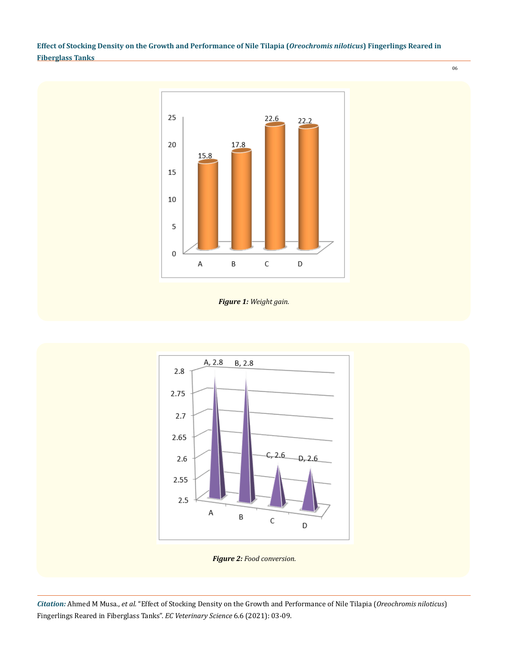





*Citation:* Ahmed M Musa., *et al.* "Effect of Stocking Density on the Growth and Performance of Nile Tilapia (*Oreochromis niloticus*) Fingerlings Reared in Fiberglass Tanks". *EC Veterinary Science* 6.6 (2021): 03-09.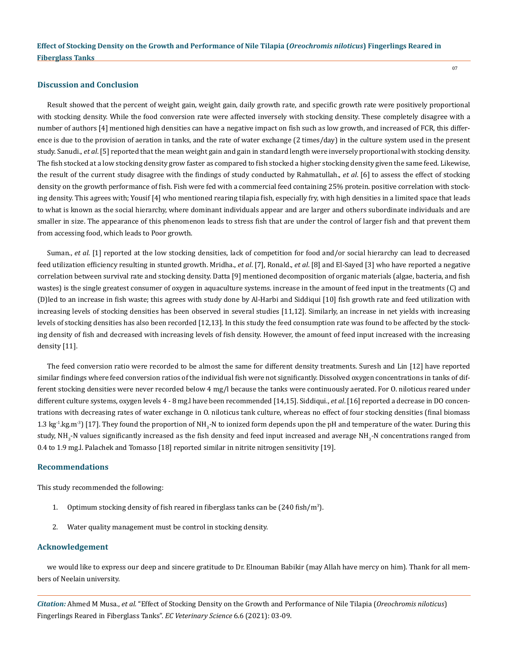## **Discussion and Conclusion**

Result showed that the percent of weight gain, weight gain, daily growth rate, and specific growth rate were positively proportional with stocking density. While the food conversion rate were affected inversely with stocking density. These completely disagree with a number of authors [4] mentioned high densities can have a negative impact on fish such as low growth, and increased of FCR, this difference is due to the provision of aeration in tanks, and the rate of water exchange (2 times/day) in the culture system used in the present study. Sanudi., *et al*. [5] reported that the mean weight gain and gain in standard length were inversely proportional with stocking density. The fish stocked at a low stocking density grow faster as compared to fish stocked a higher stocking density given the same feed. Likewise, the result of the current study disagree with the findings of study conducted by Rahmatullah., *et al*. [6] to assess the effect of stocking density on the growth performance of fish. Fish were fed with a commercial feed containing 25% protein. positive correlation with stocking density. This agrees with; Yousif [4] who mentioned rearing tilapia fish, especially fry, with high densities in a limited space that leads to what is known as the social hierarchy, where dominant individuals appear and are larger and others subordinate individuals and are smaller in size. The appearance of this phenomenon leads to stress fish that are under the control of larger fish and that prevent them from accessing food, which leads to Poor growth.

Suman., *et al*. [1] reported at the low stocking densities, lack of competition for food and/or social hierarchy can lead to decreased feed utilization efficiency resulting in stunted growth. Mridha., *et al*. [7], Ronald., *et al*. [8] and El-Sayed [3] who have reported a negative correlation between survival rate and stocking density. Datta [9] mentioned decomposition of organic materials (algae, bacteria, and fish wastes) is the single greatest consumer of oxygen in aquaculture systems. increase in the amount of feed input in the treatments (C) and (D)led to an increase in fish waste; this agrees with study done by Al-Harbi and Siddiqui [10] fish growth rate and feed utilization with increasing levels of stocking densities has been observed in several studies [11,12]. Similarly, an increase in net yields with increasing levels of stocking densities has also been recorded [12,13]. In this study the feed consumption rate was found to be affected by the stocking density of fish and decreased with increasing levels of fish density. However, the amount of feed input increased with the increasing density [11].

The feed conversion ratio were recorded to be almost the same for different density treatments. Suresh and Lin [12] have reported similar findings where feed conversion ratios of the individual fish were not significantly. Dissolved oxygen concentrations in tanks of different stocking densities were never recorded below 4 mg/l because the tanks were continuously aerated. For O. niloticus reared under different culture systems, oxygen levels 4 - 8 mg.l have been recommended [14,15]. Siddiqui., *et al*. [16] reported a decrease in DO concentrations with decreasing rates of water exchange in O. niloticus tank culture, whereas no effect of four stocking densities (final biomass  $1.3\ \text{kg}^{\text{-1}}\text{kg.m}^{\text{-3}}$  [17]. They found the proportion of NH<sub>3</sub>-N to ionized form depends upon the pH and temperature of the water. During this study, NH<sub>3</sub>-N values significantly increased as the fish density and feed input increased and average NH<sub>3</sub>-N concentrations ranged from 0.4 to 1.9 mg.l. Palachek and Tomasso [18] reported similar in nitrite nitrogen sensitivity [19].

## **Recommendations**

This study recommended the following:

- 1. Optimum stocking density of fish reared in fiberglass tanks can be  $(240 \text{ fish/m}^3)$ .
- 2. Water quality management must be control in stocking density.

# **Acknowledgement**

we would like to express our deep and sincere gratitude to Dr. Elnouman Babikir (may Allah have mercy on him). Thank for all members of Neelain university.

*Citation:* Ahmed M Musa., *et al.* "Effect of Stocking Density on the Growth and Performance of Nile Tilapia (*Oreochromis niloticus*) Fingerlings Reared in Fiberglass Tanks". *EC Veterinary Science* 6.6 (2021): 03-09.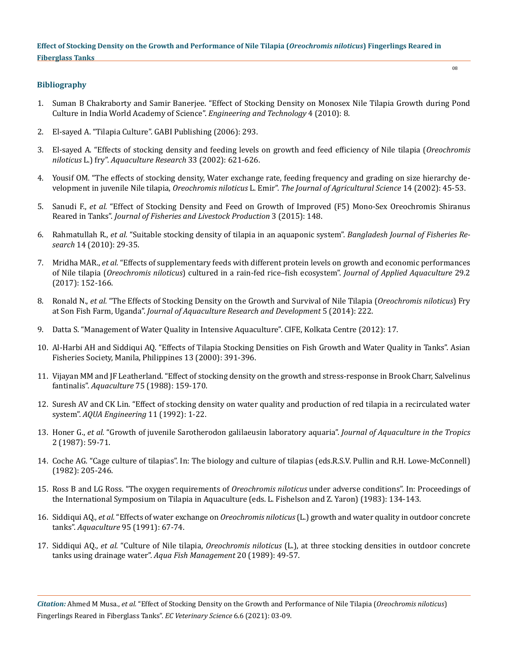# **Bibliography**

- 1. [Suman B Chakraborty and Samir Banerjee. "Effect of Stocking Density on Monosex Nile Tilapia Growth during Pond](https://publications.waset.org/2377/effect-of-stocking-density-on-monosex-nile-tilapia-growth-during-pond-culture-in-india)  [Culture in India World Academy of Science".](https://publications.waset.org/2377/effect-of-stocking-density-on-monosex-nile-tilapia-growth-during-pond-culture-in-india) *Engineering and Technology* 4 (2010): 8.
- 2. [El-sayed A. "Tilapia Culture". GABI Publishing \(2006\): 293.](https://www.cabi.org/bookshop/book/9780851990149/)
- 3. [El-sayed A. "Effects of stocking density and feeding levels on growth and feed efficiency of Nile tilapia \(](https://www.researchgate.net/publication/229890699_Effects_of_stocking_density_on_growth_yield_and_profitability_of_farming_Nile_tilapia_Oreochromis_niloticus_L_fed_Azolla_diet_in_earthen_ponds)*Oreochromis niloticus* L.) fry". *[Aquaculture Research](https://www.researchgate.net/publication/229890699_Effects_of_stocking_density_on_growth_yield_and_profitability_of_farming_Nile_tilapia_Oreochromis_niloticus_L_fed_Azolla_diet_in_earthen_ponds)* 33 (2002): 621-626.
- 4. [Yousif OM. "The effects of stocking density, Water exchange rate, feeding frequency and grading on size hierarchy de](https://www.ejfa.me/index.php/journal/article/view/209)velopment in juvenile Nile tilapia, *Oreochromis niloticus* L. Emir". *The Journal of Agricultural Science* 14 (2002): 45-53.
- 5. Sanudi F., *et al.* ["Effect of Stocking Density and Feed on Growth of Improved \(F5\) Mono-Sex Oreochromis Shiranus](https://www.omicsonline.org/open-access/effect-of-stocking-density-and-feed-on-growth-of-improved-f5-monosex-oreochromis-shiranus-reared-in-tanks-2332-2608-1000148.php?aid=64809)  Reared in Tanks". *[Journal of Fisheries and Livestock Production](https://www.omicsonline.org/open-access/effect-of-stocking-density-and-feed-on-growth-of-improved-f5-monosex-oreochromis-shiranus-reared-in-tanks-2332-2608-1000148.php?aid=64809)* 3 (2015): 148.
- 6. Rahmatullah R., *et al.* ["Suitable stocking density of tilapia in an aquaponic system".](http://aquaticcommons.org/18968/1/BJFR14_029.pdf) *Bangladesh Journal of Fisheries Research* [14 \(2010\): 29-35.](http://aquaticcommons.org/18968/1/BJFR14_029.pdf)
- 7. Mridha MAR., *et al.* ["Effects of supplementary feeds with different protein levels on growth and economic performances](https://www.tandfonline.com/doi/abs/10.1080/10454438.2016.1278067)  of Nile tilapia (*Oreochromis niloticus*[\) cultured in a rain-fed rice–fish ecosystem".](https://www.tandfonline.com/doi/abs/10.1080/10454438.2016.1278067) *Journal of Applied Aquaculture* 29.2 [\(2017\): 152-166.](https://www.tandfonline.com/doi/abs/10.1080/10454438.2016.1278067)
- 8. Ronald N., *et al.* ["The Effects of Stocking Density on the Growth and Survival of Nile Tilapia \(](https://www.semanticscholar.org/paper/The-Effects-of-Stocking-Density-on-the-Growth-and-Ronald-Gladys/a3827bf9065026fe917316a86ce86bfb5c5b319a)*Oreochromis niloticus*) Fry at Son Fish Farm, Uganda". *[Journal of Aquaculture Research and Development](https://www.semanticscholar.org/paper/The-Effects-of-Stocking-Density-on-the-Growth-and-Ronald-Gladys/a3827bf9065026fe917316a86ce86bfb5c5b319a)* 5 (2014): 222.
- 9. [Datta S. "Management of Water Quality in Intensive Aquaculture". CIFE, Kolkata Centre \(2012\): 17.](https://www.researchgate.net/publication/259175404_Management_of_Water_Quality_in_Intensive_Aquaculture)
- 10. [Al-Harbi AH and Siddiqui AQ. "Effects of Tilapia Stocking Densities on Fish Growth and Water Quality in Tanks". Asian](https://www.researchgate.net/publication/272238411_Effects_of_Tilapia_Stocking_Densities_on_Fish_Growth_and_Water_Quality_in_Tanks)  [Fisheries Society, Manila, Philippines 13 \(2000\): 391-396.](https://www.researchgate.net/publication/272238411_Effects_of_Tilapia_Stocking_Densities_on_Fish_Growth_and_Water_Quality_in_Tanks)
- 11. [Vijayan MM and JF Leatherland. "Effect of stocking density on the growth and stress-response in Brook Charr, Salvelinus](https://www.sciencedirect.com/science/article/abs/pii/0044848688900294)  fantinalis". *Aquaculture* [75 \(1988\): 159-170.](https://www.sciencedirect.com/science/article/abs/pii/0044848688900294)
- 12. [Suresh AV and CK Lin. "Effect of stocking density on water quality and production of red tilapia in a recirculated water](https://www.sciencedirect.com/science/article/abs/pii/014486099290017R)  system". *[AQUA Engineering](https://www.sciencedirect.com/science/article/abs/pii/014486099290017R)* 11 (1992): 1-22.
- 13. Honer G., *et al.* "Growth of juvenile Sarotherodon galilaeusin laboratory aquaria". *Journal of Aquaculture in the Tropics*  2 (1987): 59-71.
- 14. [Coche AG. "Cage culture of tilapias". In: The biology and culture of tilapias \(eds.R.S.V. Pullin and R.H. Lowe-McConnell\)](http://pubs.iclarm.net/libinfo/Pdf/Pub%20CP6%207.pdf)  [\(1982\): 205-246.](http://pubs.iclarm.net/libinfo/Pdf/Pub%20CP6%207.pdf)
- 15. [Ross B and LG Ross. "The oxygen requirements of](http://vmcloffa-dev.mpl.ird.fr/table/biblio/view?idbiblio:int=9298) *Oreochromis niloticus* under adverse conditions". In: Proceedings of [the International Symposium on Tilapia in Aquaculture \(eds. L. Fishelson and Z. Yaron\) \(1983\): 134-143.](http://vmcloffa-dev.mpl.ird.fr/table/biblio/view?idbiblio:int=9298)
- 16. Siddiqui AQ., *et al.* "Effects of water exchange on *Oreochromis niloticus* [\(L.\) growth and water quality in outdoor concrete](https://www.sciencedirect.com/science/article/abs/pii/004484869190073G)  tanks". *Aquaculture* [95 \(1991\): 67-74.](https://www.sciencedirect.com/science/article/abs/pii/004484869190073G)
- 17. Siddiqui AQ., *et al.* "Culture of Nile tilapia, *Oreochromis niloticus* [\(L.\), at three stocking densities in outdoor concrete](https://onlinelibrary.wiley.com/doi/abs/10.1111/j.1365-2109.1989.tb00440.x)  [tanks using drainage water".](https://onlinelibrary.wiley.com/doi/abs/10.1111/j.1365-2109.1989.tb00440.x) *Aqua Fish Management* 20 (1989): 49-57.

*Citation:* Ahmed M Musa., *et al.* "Effect of Stocking Density on the Growth and Performance of Nile Tilapia (*Oreochromis niloticus*) Fingerlings Reared in Fiberglass Tanks". *EC Veterinary Science* 6.6 (2021): 03-09.